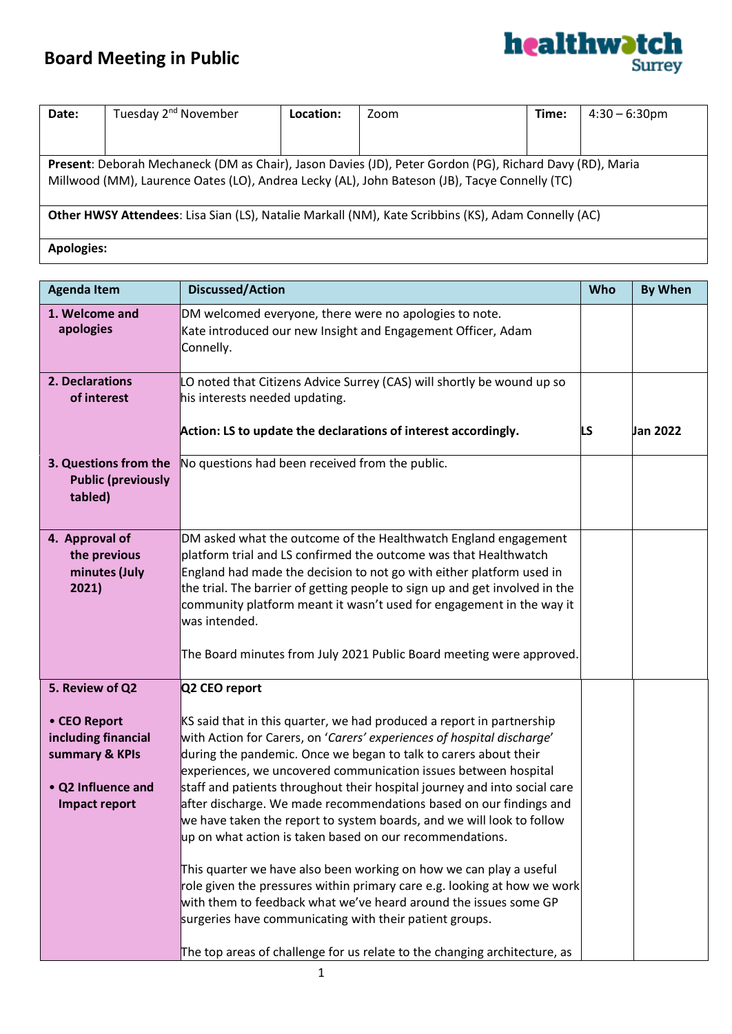## **Board Meeting in Public**

 $\overline{\phantom{a}}$ 



| Date:                                                                                                                                                                                                     | Tuesday 2 <sup>nd</sup> November | Location: | Zoom | Time: | $4:30 - 6:30$ pm |
|-----------------------------------------------------------------------------------------------------------------------------------------------------------------------------------------------------------|----------------------------------|-----------|------|-------|------------------|
|                                                                                                                                                                                                           |                                  |           |      |       |                  |
| Present: Deborah Mechaneck (DM as Chair), Jason Davies (JD), Peter Gordon (PG), Richard Davy (RD), Maria<br>Millwood (MM), Laurence Oates (LO), Andrea Lecky (AL), John Bateson (JB), Tacye Connelly (TC) |                                  |           |      |       |                  |
| Other HWSY Attendees: Lisa Sian (LS), Natalie Markall (NM), Kate Scribbins (KS), Adam Connelly (AC)                                                                                                       |                                  |           |      |       |                  |
| <b>Apologies:</b>                                                                                                                                                                                         |                                  |           |      |       |                  |

| <b>Agenda Item</b>                                                                                  | <b>Discussed/Action</b>                                                                                                                                                                                                                                                                                                                                                                                                                                                                                                                                                                                                                                                                                                                                                                                                                                                                                                                      | Who | <b>By When</b> |
|-----------------------------------------------------------------------------------------------------|----------------------------------------------------------------------------------------------------------------------------------------------------------------------------------------------------------------------------------------------------------------------------------------------------------------------------------------------------------------------------------------------------------------------------------------------------------------------------------------------------------------------------------------------------------------------------------------------------------------------------------------------------------------------------------------------------------------------------------------------------------------------------------------------------------------------------------------------------------------------------------------------------------------------------------------------|-----|----------------|
| 1. Welcome and<br>apologies                                                                         | DM welcomed everyone, there were no apologies to note.<br>Kate introduced our new Insight and Engagement Officer, Adam<br>Connelly.                                                                                                                                                                                                                                                                                                                                                                                                                                                                                                                                                                                                                                                                                                                                                                                                          |     |                |
| 2. Declarations<br>of interest                                                                      | LO noted that Citizens Advice Surrey (CAS) will shortly be wound up so<br>his interests needed updating.                                                                                                                                                                                                                                                                                                                                                                                                                                                                                                                                                                                                                                                                                                                                                                                                                                     |     |                |
|                                                                                                     | Action: LS to update the declarations of interest accordingly.                                                                                                                                                                                                                                                                                                                                                                                                                                                                                                                                                                                                                                                                                                                                                                                                                                                                               | LS. | Jan 2022       |
| 3. Questions from the<br><b>Public (previously</b><br>tabled)                                       | No questions had been received from the public.                                                                                                                                                                                                                                                                                                                                                                                                                                                                                                                                                                                                                                                                                                                                                                                                                                                                                              |     |                |
| 4. Approval of<br>the previous<br>minutes (July<br>2021)                                            | DM asked what the outcome of the Healthwatch England engagement<br>platform trial and LS confirmed the outcome was that Healthwatch<br>England had made the decision to not go with either platform used in<br>the trial. The barrier of getting people to sign up and get involved in the<br>community platform meant it wasn't used for engagement in the way it<br>was intended.<br>The Board minutes from July 2021 Public Board meeting were approved.                                                                                                                                                                                                                                                                                                                                                                                                                                                                                  |     |                |
| 5. Review of Q2                                                                                     | Q2 CEO report                                                                                                                                                                                                                                                                                                                                                                                                                                                                                                                                                                                                                                                                                                                                                                                                                                                                                                                                |     |                |
| • CEO Report<br>including financial<br>summary & KPIs<br>• Q2 Influence and<br><b>Impact report</b> | KS said that in this quarter, we had produced a report in partnership<br>with Action for Carers, on 'Carers' experiences of hospital discharge'<br>during the pandemic. Once we began to talk to carers about their<br>experiences, we uncovered communication issues between hospital<br>staff and patients throughout their hospital journey and into social care<br>after discharge. We made recommendations based on our findings and<br>we have taken the report to system boards, and we will look to follow<br>up on what action is taken based on our recommendations.<br>This quarter we have also been working on how we can play a useful<br>role given the pressures within primary care e.g. looking at how we work<br>with them to feedback what we've heard around the issues some GP<br>surgeries have communicating with their patient groups.<br>The top areas of challenge for us relate to the changing architecture, as |     |                |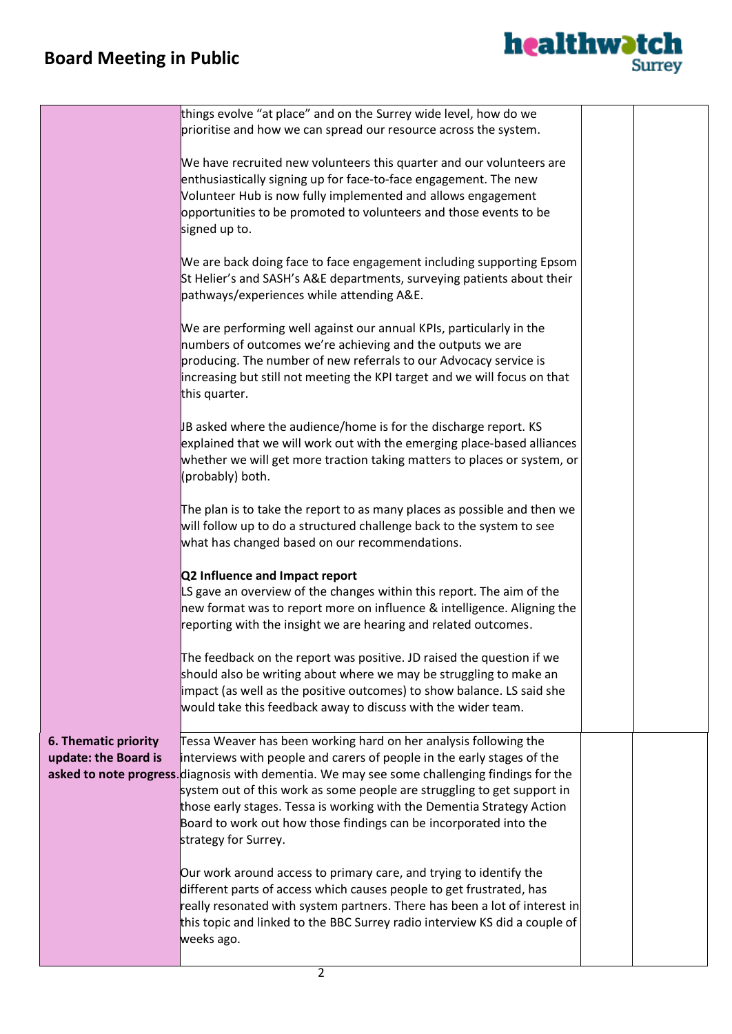## **Board Meeting in Public**



|                                              | things evolve "at place" and on the Surrey wide level, how do we<br>prioritise and how we can spread our resource across the system.                                                                                                                                                                                                                                                                                                                                                          |  |
|----------------------------------------------|-----------------------------------------------------------------------------------------------------------------------------------------------------------------------------------------------------------------------------------------------------------------------------------------------------------------------------------------------------------------------------------------------------------------------------------------------------------------------------------------------|--|
|                                              | We have recruited new volunteers this quarter and our volunteers are<br>enthusiastically signing up for face-to-face engagement. The new<br>Volunteer Hub is now fully implemented and allows engagement<br>opportunities to be promoted to volunteers and those events to be<br>signed up to.                                                                                                                                                                                                |  |
|                                              | We are back doing face to face engagement including supporting Epsom<br>St Helier's and SASH's A&E departments, surveying patients about their<br>pathways/experiences while attending A&E.                                                                                                                                                                                                                                                                                                   |  |
|                                              | We are performing well against our annual KPIs, particularly in the<br>numbers of outcomes we're achieving and the outputs we are<br>producing. The number of new referrals to our Advocacy service is<br>increasing but still not meeting the KPI target and we will focus on that<br>this quarter.                                                                                                                                                                                          |  |
|                                              | JB asked where the audience/home is for the discharge report. KS<br>explained that we will work out with the emerging place-based alliances<br>whether we will get more traction taking matters to places or system, or<br>(probably) both.                                                                                                                                                                                                                                                   |  |
|                                              | The plan is to take the report to as many places as possible and then we<br>will follow up to do a structured challenge back to the system to see<br>what has changed based on our recommendations.                                                                                                                                                                                                                                                                                           |  |
|                                              | Q2 Influence and Impact report<br>LS gave an overview of the changes within this report. The aim of the<br>new format was to report more on influence & intelligence. Aligning the<br>reporting with the insight we are hearing and related outcomes.                                                                                                                                                                                                                                         |  |
|                                              | The feedback on the report was positive. JD raised the question if we<br>should also be writing about where we may be struggling to make an<br>impact (as well as the positive outcomes) to show balance. LS said she<br>would take this feedback away to discuss with the wider team.                                                                                                                                                                                                        |  |
| 6. Thematic priority<br>update: the Board is | Tessa Weaver has been working hard on her analysis following the<br>interviews with people and carers of people in the early stages of the<br>asked to note progress. diagnosis with dementia. We may see some challenging findings for the<br>system out of this work as some people are struggling to get support in<br>those early stages. Tessa is working with the Dementia Strategy Action<br>Board to work out how those findings can be incorporated into the<br>strategy for Surrey. |  |
|                                              | Our work around access to primary care, and trying to identify the<br>different parts of access which causes people to get frustrated, has<br>really resonated with system partners. There has been a lot of interest in<br>this topic and linked to the BBC Surrey radio interview KS did a couple of<br>weeks ago.                                                                                                                                                                          |  |